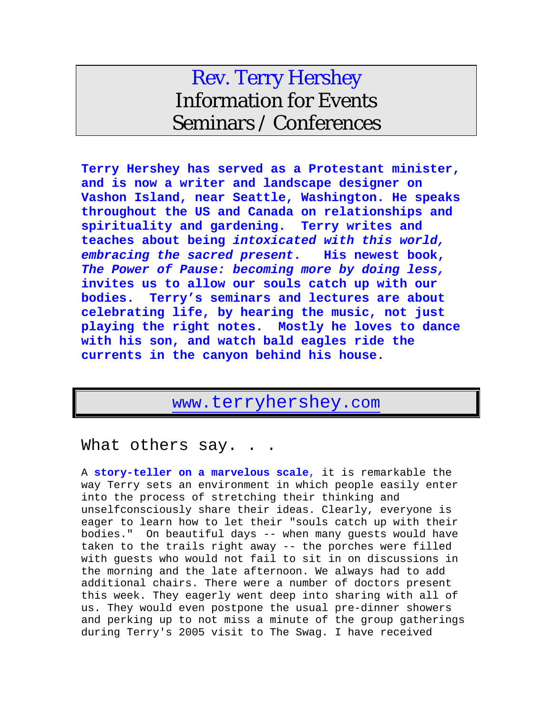# Rev. Terry Hershey Information for Events Seminars / Conferences

**Terry Hershey has served as a Protestant minister, and is now a writer and landscape designer on Vashon Island, near Seattle, Washington. He speaks throughout the US and Canada on relationships and spirituality and gardening. Terry writes and teaches about being** *intoxicated with this world, embracing the sacred present***. His newest book,**  *The Power of Pause: becoming more by doing less,*  **invites us to allow our souls catch up with our bodies. Terry's seminars and lectures are about celebrating life, by hearing the music, not just playing the right notes. Mostly he loves to dance with his son, and watch bald eagles ride the currents in the canyon behind his house.**

## [www.terryhershey.com](http://www.terryhershey.com/)

#### What others say.

A **story-teller on a marvelous scale**, it is remarkable the way Terry sets an environment in which people easily enter into the process of stretching their thinking and unselfconsciously share their ideas. Clearly, everyone is eager to learn how to let their "souls catch up with their bodies." On beautiful days -- when many guests would have taken to the trails right away -- the porches were filled with guests who would not fail to sit in on discussions in the morning and the late afternoon. We always had to add additional chairs. There were a number of doctors present this week. They eagerly went deep into sharing with all of us. They would even postpone the usual pre-dinner showers and perking up to not miss a minute of the group gatherings during Terry's 2005 visit to The Swag. I have received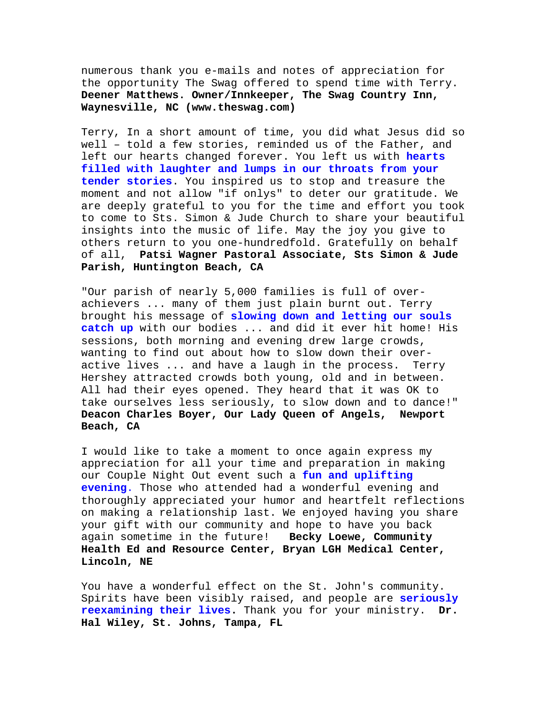numerous thank you e-mails and notes of appreciation for the opportunity The Swag offered to spend time with Terry. **Deener Matthews. Owner/Innkeeper, The Swag Country Inn, Waynesville, NC (www.theswag.com)**

Terry, In a short amount of time, you did what Jesus did so well – told a few stories, reminded us of the Father, and left our hearts changed forever. You left us with **hearts filled with laughter and lumps in our throats from your tender stories**. You inspired us to stop and treasure the moment and not allow "if onlys" to deter our gratitude. We are deeply grateful to you for the time and effort you took to come to Sts. Simon & Jude Church to share your beautiful insights into the music of life. May the joy you give to others return to you one-hundredfold. Gratefully on behalf of all, **Patsi Wagner Pastoral Associate, Sts Simon & Jude Parish, Huntington Beach, CA** 

"Our parish of nearly 5,000 families is full of overachievers ... many of them just plain burnt out. Terry brought his message of **slowing down and letting our souls catch up** with our bodies ... and did it ever hit home! His sessions, both morning and evening drew large crowds, wanting to find out about how to slow down their overactive lives ... and have a laugh in the process. Terry Hershey attracted crowds both young, old and in between. All had their eyes opened. They heard that it was OK to take ourselves less seriously, to slow down and to dance!" **Deacon Charles Boyer, Our Lady Queen of Angels, Newport Beach, CA** 

I would like to take a moment to once again express my appreciation for all your time and preparation in making our Couple Night Out event such a **fun and uplifting evening**. Those who attended had a wonderful evening and thoroughly appreciated your humor and heartfelt reflections on making a relationship last. We enjoyed having you share your gift with our community and hope to have you back<br>again sometime in the future! Becky Loewe, Community again sometime in the future! **Health Ed and Resource Center, Bryan LGH Medical Center, Lincoln, NE** 

You have a wonderful effect on the St. John's community. Spirits have been visibly raised, and people are **seriously reexamining their lives.** Thank you for your ministry. **Dr. Hal Wiley, St. Johns, Tampa, FL**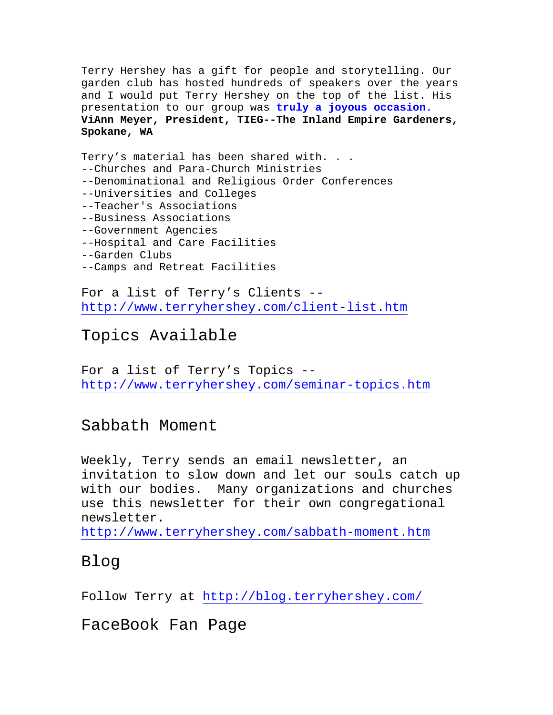Terry Hershey has a gift for people and storytelling. Our garden club has hosted hundreds of speakers over the years and I would put Terry Hershey on the top of the list. His presentation to our group was **truly a joyous occasion**. **ViAnn Meyer, President, TIEG--The Inland Empire Gardeners, Spokane, WA** 

Terry's material has been shared with. . . --Churches and Para-Church Ministries --Denominational and Religious Order Conferences --Universities and Colleges --Teacher's Associations --Business Associations --Government Agencies --Hospital and Care Facilities --Garden Clubs --Camps and Retreat Facilities

For a list of Terry's Clients - <http://www.terryhershey.com/client-list.htm>

#### Topics Available

For a list of Terry's Topics - <http://www.terryhershey.com/seminar-topics.htm>

Sabbath Moment

Weekly, Terry sends an email newsletter, an invitation to slow down and let our souls catch up with our bodies. Many organizations and churches use this newsletter for their own congregational newsletter.

<http://www.terryhershey.com/sabbath-moment.htm>

Blog

Follow Terry at<http://blog.terryhershey.com/>

FaceBook Fan Page